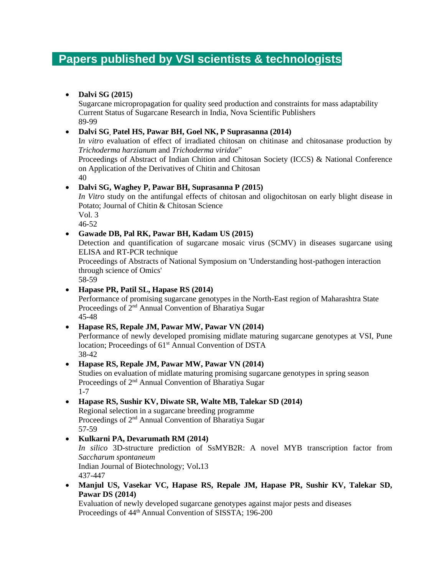# **Papers published by VSI scientists & technologists**

#### • **Dalvi SG (2015)**

Sugarcane micropropagation for quality seed production and constraints for mass adaptability Current Status of Sugarcane Research in India, Nova Scientific Publishers 89-99

#### • **Dalvi SG, Patel HS, Pawar BH, Goel NK, P Suprasanna (2014)**

I*n vitro* evaluation of effect of irradiated chitosan on chitinase and chitosanase production by *Trichoderma harzianum* and *Trichoderma viridae*"

Proceedings of Abstract of Indian Chition and Chitosan Society (ICCS) & National Conference on Application of the Derivatives of Chitin and Chitosan

40

#### • **Dalvi SG, Waghey P, Pawar BH, Suprasanna P** *(***2015)**

*In Vitro* study on the antifungal effects of chitosan and oligochitosan on early blight disease in Potato; Journal of Chitin & Chitosan Science Vol. 3 46-52

## • **Gawade DB, Pal RK, Pawar BH, Kadam US (2015)**

Detection and quantification of sugarcane mosaic virus (SCMV) in diseases sugarcane using ELISA and RT-PCR technique

Proceedings of Abstracts of National Symposium on 'Understanding host-pathogen interaction through science of Omics'

58-59

• **Hapase PR, Patil SL, Hapase RS (2014)**

Performance of promising sugarcane genotypes in the North-East region of Maharashtra State Proceedings of 2nd Annual Convention of Bharatiya Sugar 45-48

#### • **Hapase RS, Repale JM, Pawar MW, Pawar VN (2014)**

Performance of newly developed promising midlate maturing sugarcane genotypes at VSI, Pune location; Proceedings of 61<sup>st</sup> Annual Convention of DSTA 38-42

#### • **Hapase RS, Repale JM, Pawar MW, Pawar VN (2014)**

Studies on evaluation of midlate maturing promising sugarcane genotypes in spring season Proceedings of 2nd Annual Convention of Bharatiya Sugar 1-7

## • **Hapase RS, Sushir KV, Diwate SR, Walte MB, Talekar SD (2014)**

Regional selection in a sugarcane breeding programme Proceedings of 2<sup>nd</sup> Annual Convention of Bharatiya Sugar 57-59

#### • **Kulkarni PA, Devarumath RM (2014)**

*In silico* 3D-structure prediction of SsMYB2R: A novel MYB transcription factor from *Saccharum spontaneum* Indian Journal of Biotechnology; Vol**.**13

437-447

• **Manjul US, Vasekar VC, Hapase RS, Repale JM, Hapase PR, Sushir KV, Talekar SD, Pawar DS (2014)**

Evaluation of newly developed sugarcane genotypes against major pests and diseases Proceedings of 44th Annual Convention of SISSTA; 196-200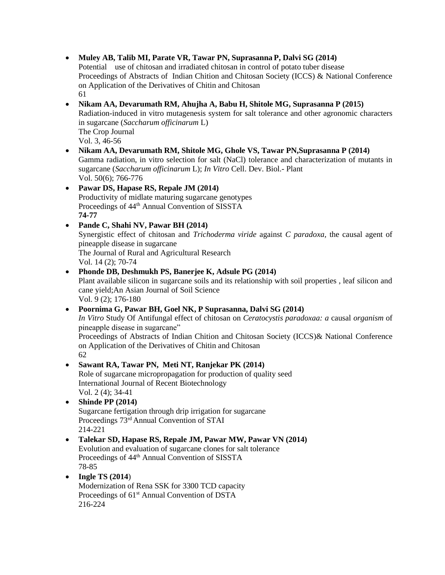• **Muley AB, Talib MI, Parate VR, Tawar PN, Suprasanna P, Dalvi SG (2014)** 

Potential use of chitosan and irradiated chitosan in control of potato tuber disease Proceedings of Abstracts of Indian Chition and Chitosan Society (ICCS) & National Conference on Application of the Derivatives of Chitin and Chitosan 61

• **Nikam AA, Devarumath RM, Ahujha A, Babu H, Shitole MG, Suprasanna P (2015)** Radiation-induced in vitro mutagenesis system for salt tolerance and other agronomic characters in sugarcane (*Saccharum officinarum* L) The Crop Journal Vol. 3, 46-56

• **Nikam AA, Devarumath RM, Shitole MG, Ghole VS, Tawar PN,Suprasanna P (2014)** Gamma radiation, in vitro selection for salt (NaCl) tolerance and characterization of mutants in sugarcane (*Saccharum officinarum* L); *In Vitro* Cell. Dev. Biol.- Plant Vol. 50(6); 766-776

• **Pawar DS, Hapase RS, Repale JM (2014)** Productivity of midlate maturing sugarcane genotypes Proceedings of 44<sup>th</sup> Annual Convention of SISSTA **74-77**

• **Pande C, Shahi NV, Pawar BH (2014)**  Synergistic effect of chitosan and *Trichoderma viride* against *C paradoxa,* the causal agent of pineapple disease in sugarcane The Journal of Rural and Agricultural Research Vol. 14 (2); 70-74

• **Phonde DB, Deshmukh PS, Banerjee K, Adsule PG (2014)**  Plant available silicon in sugarcane soils and its relationship with soil properties , leaf silicon and cane yield;An Asian Journal of Soil Science Vol. 9 (2); 176-180

• **Poornima G, Pawar BH, Goel NK, P Suprasanna, Dalvi SG (2014)**  *In Vitro* Study Of Antifungal effect of chitosan on *Ceratocystis paradoxaa: a* causal *organism* of pineapple disease in sugarcane"

Proceedings of Abstracts of Indian Chition and Chitosan Society (ICCS)& National Conference on Application of the Derivatives of Chitin and Chitosan 62

• **Sawant RA, Tawar PN, Meti NT, Ranjekar PK (2014)**  Role of sugarcane micropropagation for production of quality seed International Journal of Recent Biotechnology Vol. 2 (4); 34-41

• **Shinde PP (2014)** Sugarcane fertigation through drip irrigation for sugarcane Proceedings 73rd Annual Convention of STAI 214-221

• **Talekar SD, Hapase RS, Repale JM, Pawar MW, Pawar VN (2014)** Evolution and evaluation of sugarcane clones for salt tolerance Proceedings of 44<sup>th</sup> Annual Convention of SISSTA 78-85

• **Ingle TS (2014**) Modernization of Rena SSK for 3300 TCD capacity Proceedings of 61<sup>st</sup> Annual Convention of DSTA 216-224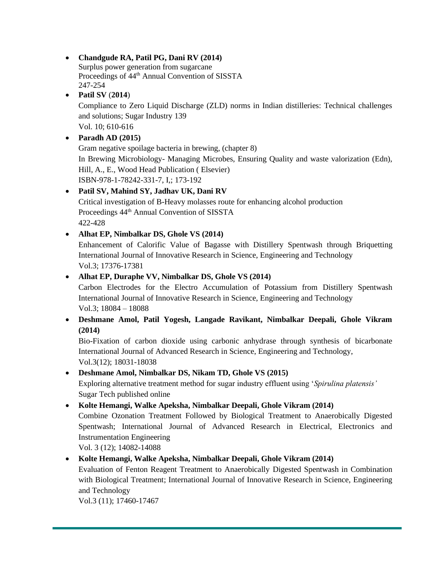## • **Chandgude RA, Patil PG, Dani RV (2014)**

Surplus power generation from sugarcane Proceedings of 44<sup>th</sup> Annual Convention of SISSTA 247-254

#### • **Patil SV** (**2014**)

Compliance to Zero Liquid Discharge (ZLD) norms in Indian distilleries: Technical challenges and solutions; Sugar Industry 139

Vol. 10; 610-616

### • **Paradh AD (2015)**

Gram negative spoilage bacteria in brewing, (chapter 8) In Brewing Microbiology- Managing Microbes, Ensuring Quality and waste valorization (Edn), Hill, A., E., Wood Head Publication ( Elsevier) ISBN-978-1-78242-331-7, I,; 173-192

## • **Patil SV, Mahind SY, Jadhav UK, Dani RV**

Critical investigation of B-Heavy molasses route for enhancing alcohol production Proceedings 44th Annual Convention of SISSTA 422-428

### • **Alhat EP, Nimbalkar DS, Ghole VS (2014)**

Enhancement of Calorific Value of Bagasse with Distillery Spentwash through Briquetting International Journal of Innovative Research in Science, Engineering and Technology Vol.3; 17376-17381

### • **Alhat EP, Duraphe VV, Nimbalkar DS, Ghole VS (2014)**

Carbon Electrodes for the Electro Accumulation of Potassium from Distillery Spentwash International Journal of Innovative Research in Science, Engineering and Technology Vol.3; 18084 – 18088

### • **Deshmane Amol, Patil Yogesh, Langade Ravikant, Nimbalkar Deepali, Ghole Vikram (2014)**

Bio-Fixation of carbon dioxide using carbonic anhydrase through synthesis of bicarbonate International Journal of Advanced Research in Science, Engineering and Technology, Vol.3(12); 18031-18038

## • **Deshmane Amol, Nimbalkar DS, Nikam TD, Ghole VS (2015)**

Exploring alternative treatment method for sugar industry effluent using '*Spirulina platensis'* Sugar Tech published online

#### • **Kolte Hemangi, Walke Apeksha, Nimbalkar Deepali, Ghole Vikram (2014)**

Combine Ozonation Treatment Followed by Biological Treatment to Anaerobically Digested Spentwash; International Journal of Advanced Research in Electrical, Electronics and Instrumentation Engineering

Vol. 3 (12); 14082-14088

## • **Kolte Hemangi, Walke Apeksha, Nimbalkar Deepali, Ghole Vikram (2014)**

Evaluation of Fenton Reagent Treatment to Anaerobically Digested Spentwash in Combination with Biological Treatment; International Journal of Innovative Research in Science, Engineering and Technology

Vol.3 (11); 17460-17467